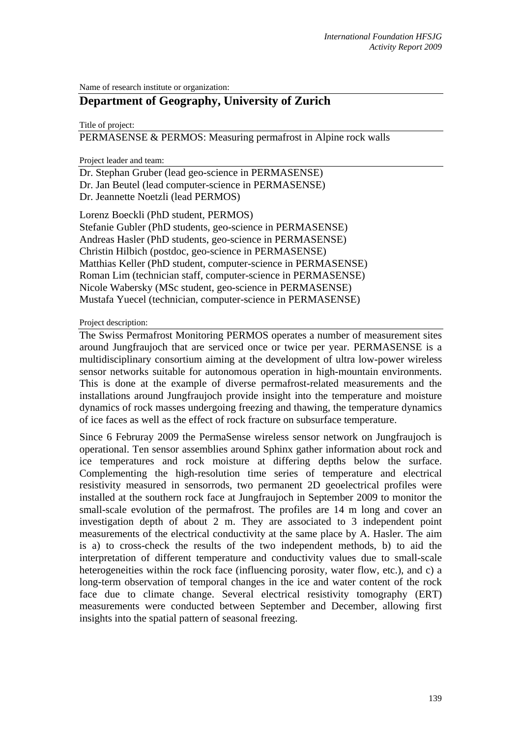Name of research institute or organization:

# **Department of Geography, University of Zurich**

Title of project:

PERMASENSE & PERMOS: Measuring permafrost in Alpine rock walls

Project leader and team:

Dr. Stephan Gruber (lead geo-science in PERMASENSE) Dr. Jan Beutel (lead computer-science in PERMASENSE) Dr. Jeannette Noetzli (lead PERMOS)

Lorenz Boeckli (PhD student, PERMOS) Stefanie Gubler (PhD students, geo-science in PERMASENSE) Andreas Hasler (PhD students, geo-science in PERMASENSE) Christin Hilbich (postdoc, geo-science in PERMASENSE) Matthias Keller (PhD student, computer-science in PERMASENSE) Roman Lim (technician staff, computer-science in PERMASENSE) Nicole Wabersky (MSc student, geo-science in PERMASENSE) Mustafa Yuecel (technician, computer-science in PERMASENSE)

## Project description:

The Swiss Permafrost Monitoring PERMOS operates a number of measurement sites around Jungfraujoch that are serviced once or twice per year. PERMASENSE is a multidisciplinary consortium aiming at the development of ultra low-power wireless sensor networks suitable for autonomous operation in high-mountain environments. This is done at the example of diverse permafrost-related measurements and the installations around Jungfraujoch provide insight into the temperature and moisture dynamics of rock masses undergoing freezing and thawing, the temperature dynamics of ice faces as well as the effect of rock fracture on subsurface temperature.

Since 6 Februray 2009 the PermaSense wireless sensor network on Jungfraujoch is operational. Ten sensor assemblies around Sphinx gather information about rock and ice temperatures and rock moisture at differing depths below the surface. Complementing the high-resolution time series of temperature and electrical resistivity measured in sensorrods, two permanent 2D geoelectrical profiles were installed at the southern rock face at Jungfraujoch in September 2009 to monitor the small-scale evolution of the permafrost. The profiles are 14 m long and cover an investigation depth of about 2 m. They are associated to 3 independent point measurements of the electrical conductivity at the same place by A. Hasler. The aim is a) to cross-check the results of the two independent methods, b) to aid the interpretation of different temperature and conductivity values due to small-scale heterogeneities within the rock face (influencing porosity, water flow, etc.), and c) a long-term observation of temporal changes in the ice and water content of the rock face due to climate change. Several electrical resistivity tomography (ERT) measurements were conducted between September and December, allowing first insights into the spatial pattern of seasonal freezing.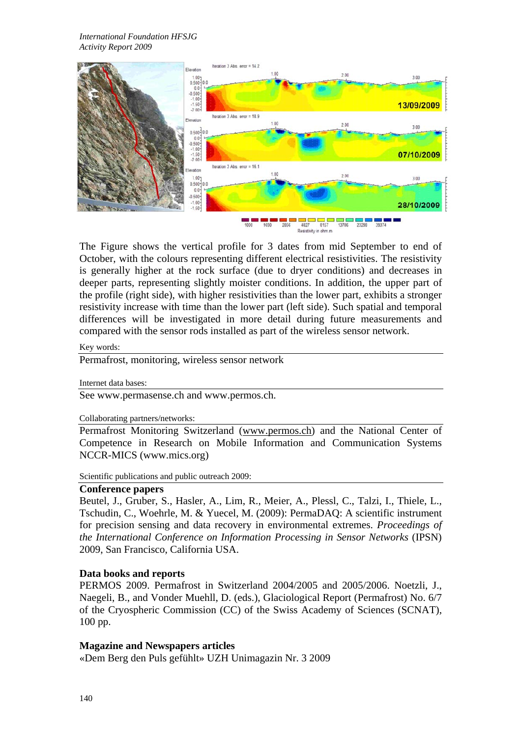*International Foundation HFSJG Activity Report 2009*



The Figure shows the vertical profile for 3 dates from mid September to end of October, with the colours representing different electrical resistivities. The resistivity is generally higher at the rock surface (due to dryer conditions) and decreases in deeper parts, representing slightly moister conditions. In addition, the upper part of the profile (right side), with higher resistivities than the lower part, exhibits a stronger resistivity increase with time than the lower part (left side). Such spatial and temporal differences will be investigated in more detail during future measurements and compared with the sensor rods installed as part of the wireless sensor network.

#### Key words:

Permafrost, monitoring, wireless sensor network

#### Internet data bases:

See www.permasense.ch and www.permos.ch.

#### Collaborating partners/networks:

Permafrost Monitoring Switzerland (www.permos.ch) and the National Center of Competence in Research on Mobile Information and Communication Systems NCCR-MICS (www.mics.org)

Scientific publications and public outreach 2009:

### **Conference papers**

Beutel, J., Gruber, S., Hasler, A., Lim, R., Meier, A., Plessl, C., Talzi, I., Thiele, L., Tschudin, C., Woehrle, M. & Yuecel, M. (2009): PermaDAQ: A scientific instrument for precision sensing and data recovery in environmental extremes. *Proceedings of the International Conference on Information Processing in Sensor Networks* (IPSN) 2009, San Francisco, California USA.

## **Data books and reports**

PERMOS 2009. Permafrost in Switzerland 2004/2005 and 2005/2006. Noetzli, J., Naegeli, B., and Vonder Muehll, D. (eds.), Glaciological Report (Permafrost) No. 6/7 of the Cryospheric Commission (CC) of the Swiss Academy of Sciences (SCNAT), 100 pp.

## **Magazine and Newspapers articles**

«Dem Berg den Puls gefühlt» UZH Unimagazin Nr. 3 2009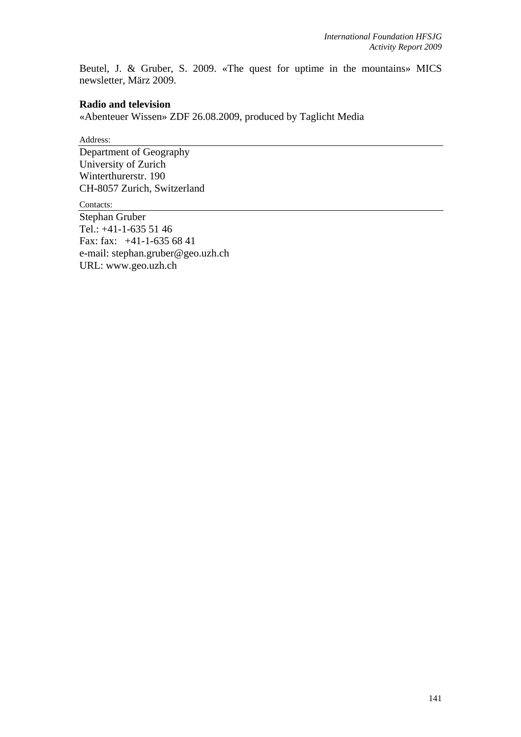Beutel, J. & Gruber, S. 2009. «The quest for uptime in the mountains» MICS newsletter, März 2009.

## **Radio and television**

«Abenteuer Wissen» ZDF 26.08.2009, produced by Taglicht Media

Address:

Department of Geography University of Zurich Winterthurerstr. 190 CH-8057 Zurich, Switzerland

Contacts:

Stephan Gruber Tel.: +41-1-635 51 46 Fax: fax: +41-1-635 68 41 e-mail: stephan.gruber@geo.uzh.ch URL: www.geo.uzh.ch